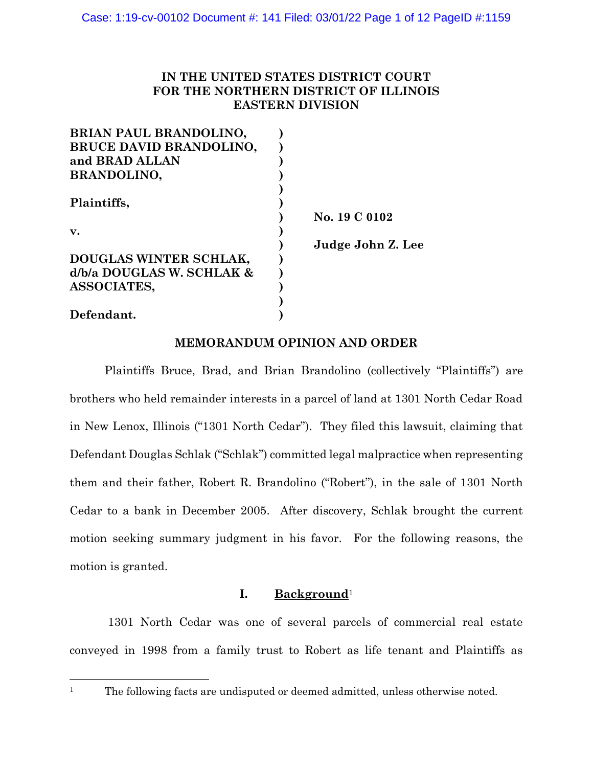# **IN THE UNITED STATES DISTRICT COURT FOR THE NORTHERN DISTRICT OF ILLINOIS EASTERN DIVISION**

| BRIAN PAUL BRANDOLINO,         |                   |
|--------------------------------|-------------------|
| <b>BRUCE DAVID BRANDOLINO,</b> |                   |
| and BRAD ALLAN                 |                   |
| <b>BRANDOLINO,</b>             |                   |
|                                |                   |
| Plaintiffs,                    |                   |
|                                | No. 19 C 0102     |
| $\mathbf{v}$ .                 |                   |
|                                | Judge John Z. Lee |
| DOUGLAS WINTER SCHLAK,         |                   |
| d/b/a DOUGLAS W. SCHLAK &      |                   |
| <b>ASSOCIATES,</b>             |                   |
|                                |                   |
| Defendant.                     |                   |

# **MEMORANDUM OPINION AND ORDER**

Plaintiffs Bruce, Brad, and Brian Brandolino (collectively "Plaintiffs") are brothers who held remainder interests in a parcel of land at 1301 North Cedar Road in New Lenox, Illinois ("1301 North Cedar"). They filed this lawsuit, claiming that Defendant Douglas Schlak ("Schlak") committed legal malpractice when representing them and their father, Robert R. Brandolino ("Robert"), in the sale of 1301 North Cedar to a bank in December 2005. After discovery, Schlak brought the current motion seeking summary judgment in his favor. For the following reasons, the motion is granted.

# **I. Background**<sup>1</sup>

1301 North Cedar was one of several parcels of commercial real estate conveyed in 1998 from a family trust to Robert as life tenant and Plaintiffs as

<sup>&</sup>lt;sup>1</sup> The following facts are undisputed or deemed admitted, unless otherwise noted.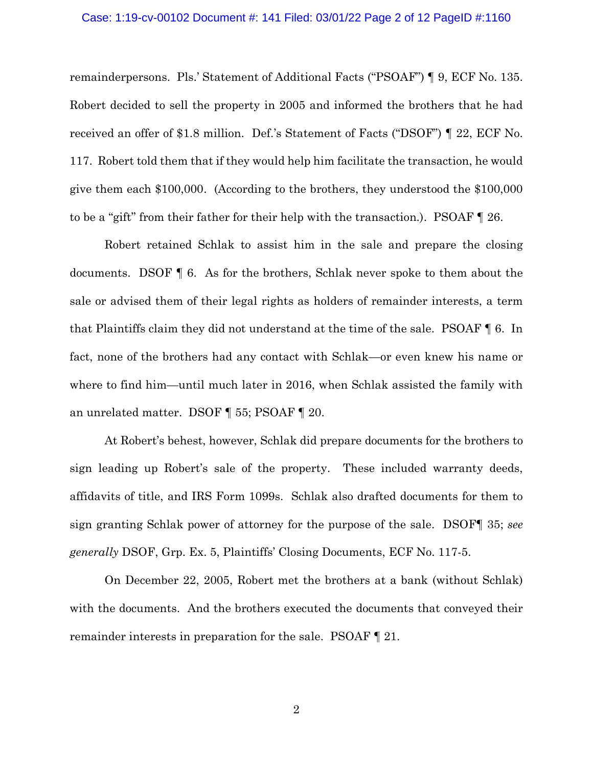#### Case: 1:19-cv-00102 Document #: 141 Filed: 03/01/22 Page 2 of 12 PageID #:1160

remainderpersons. Pls.' Statement of Additional Facts ("PSOAF") ¶ 9, ECF No. 135. Robert decided to sell the property in 2005 and informed the brothers that he had received an offer of \$1.8 million. Def.'s Statement of Facts ("DSOF") ¶ 22, ECF No. 117. Robert told them that if they would help him facilitate the transaction, he would give them each \$100,000. (According to the brothers, they understood the \$100,000 to be a "gift" from their father for their help with the transaction.). PSOAF ¶ 26.

Robert retained Schlak to assist him in the sale and prepare the closing documents. DSOF ¶ 6. As for the brothers, Schlak never spoke to them about the sale or advised them of their legal rights as holders of remainder interests, a term that Plaintiffs claim they did not understand at the time of the sale. PSOAF ¶ 6. In fact, none of the brothers had any contact with Schlak—or even knew his name or where to find him—until much later in 2016, when Schlak assisted the family with an unrelated matter. DSOF ¶ 55; PSOAF ¶ 20.

At Robert's behest, however, Schlak did prepare documents for the brothers to sign leading up Robert's sale of the property. These included warranty deeds, affidavits of title, and IRS Form 1099s. Schlak also drafted documents for them to sign granting Schlak power of attorney for the purpose of the sale. DSOF¶ 35; *see generally* DSOF, Grp. Ex. 5, Plaintiffs' Closing Documents, ECF No. 117-5.

On December 22, 2005, Robert met the brothers at a bank (without Schlak) with the documents. And the brothers executed the documents that conveyed their remainder interests in preparation for the sale. PSOAF ¶ 21.

2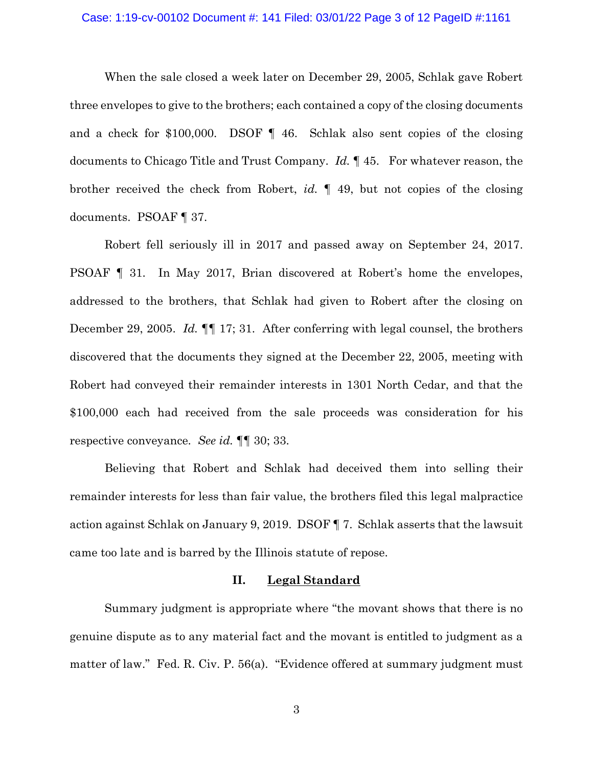#### Case: 1:19-cv-00102 Document #: 141 Filed: 03/01/22 Page 3 of 12 PageID #:1161

When the sale closed a week later on December 29, 2005, Schlak gave Robert three envelopes to give to the brothers; each contained a copy of the closing documents and a check for \$100,000. DSOF ¶ 46. Schlak also sent copies of the closing documents to Chicago Title and Trust Company. *Id.* ¶ 45. For whatever reason, the brother received the check from Robert, *id.* ¶ 49, but not copies of the closing documents. PSOAF ¶ 37.

Robert fell seriously ill in 2017 and passed away on September 24, 2017. PSOAF ¶ 31. In May 2017, Brian discovered at Robert's home the envelopes, addressed to the brothers, that Schlak had given to Robert after the closing on December 29, 2005. *Id.* ¶¶ 17; 31. After conferring with legal counsel, the brothers discovered that the documents they signed at the December 22, 2005, meeting with Robert had conveyed their remainder interests in 1301 North Cedar, and that the \$100,000 each had received from the sale proceeds was consideration for his respective conveyance. *See id.* ¶¶ 30; 33.

Believing that Robert and Schlak had deceived them into selling their remainder interests for less than fair value, the brothers filed this legal malpractice action against Schlak on January 9, 2019. DSOF ¶ 7. Schlak asserts that the lawsuit came too late and is barred by the Illinois statute of repose.

## **II. Legal Standard**

Summary judgment is appropriate where "the movant shows that there is no genuine dispute as to any material fact and the movant is entitled to judgment as a matter of law." Fed. R. Civ. P. 56(a). "Evidence offered at summary judgment must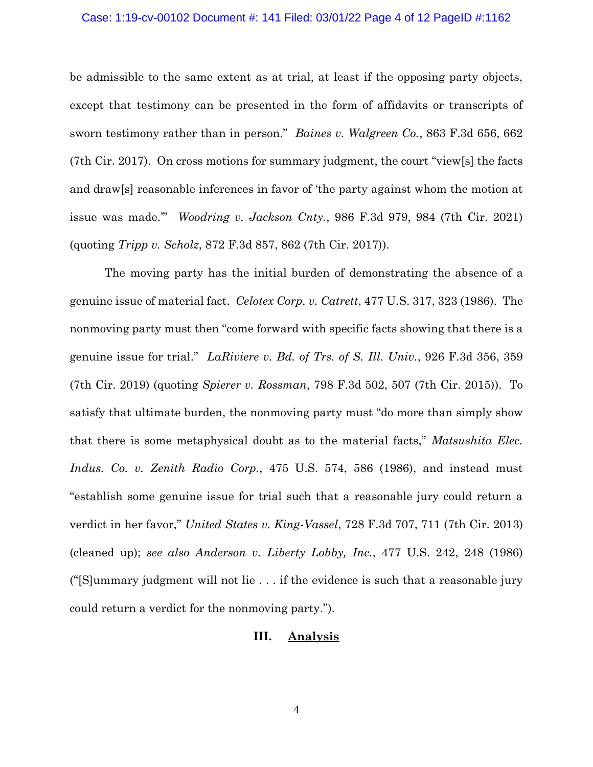#### Case: 1:19-cv-00102 Document #: 141 Filed: 03/01/22 Page 4 of 12 PageID #:1162

be admissible to the same extent as at trial, at least if the opposing party objects, except that testimony can be presented in the form of affidavits or transcripts of sworn testimony rather than in person." *Baines v. Walgreen Co.*, 863 F.3d 656, 662 (7th Cir. 2017). On cross motions for summary judgment, the court "view[s] the facts and draw[s] reasonable inferences in favor of 'the party against whom the motion at issue was made.'" *Woodring v. Jackson Cnty.*, 986 F.3d 979, 984 (7th Cir. 2021) (quoting *Tripp v. Scholz*, 872 F.3d 857, 862 (7th Cir. 2017)).

The moving party has the initial burden of demonstrating the absence of a genuine issue of material fact. *Celotex Corp. v. Catrett*, 477 U.S. 317, 323 (1986). The nonmoving party must then "come forward with specific facts showing that there is a genuine issue for trial." *LaRiviere v. Bd. of Trs. of S. Ill. Univ.*, 926 F.3d 356, 359 (7th Cir. 2019) (quoting *Spierer v. Rossman*, 798 F.3d 502, 507 (7th Cir. 2015)). To satisfy that ultimate burden, the nonmoving party must "do more than simply show that there is some metaphysical doubt as to the material facts," *Matsushita Elec. Indus. Co. v. Zenith Radio Corp.*, 475 U.S. 574, 586 (1986), and instead must "establish some genuine issue for trial such that a reasonable jury could return a verdict in her favor," *United States v. King-Vassel*, 728 F.3d 707, 711 (7th Cir. 2013) (cleaned up); *see also Anderson v. Liberty Lobby, Inc.*, 477 U.S. 242, 248 (1986) ("[S]ummary judgment will not lie . . . if the evidence is such that a reasonable jury could return a verdict for the nonmoving party.").

# **III. Analysis**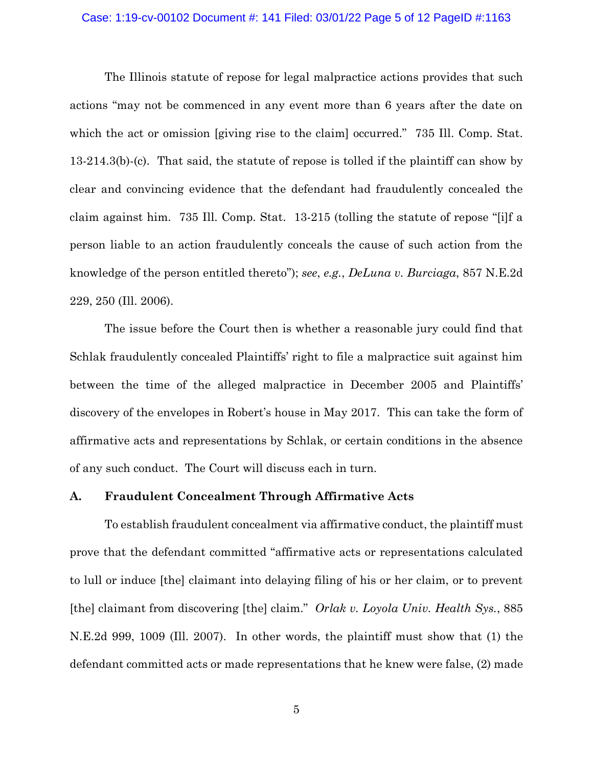#### Case: 1:19-cv-00102 Document #: 141 Filed: 03/01/22 Page 5 of 12 PageID #:1163

The Illinois statute of repose for legal malpractice actions provides that such actions "may not be commenced in any event more than 6 years after the date on which the act or omission [giving rise to the claim] occurred." 735 Ill. Comp. Stat. 13-214.3(b)-(c). That said, the statute of repose is tolled if the plaintiff can show by clear and convincing evidence that the defendant had fraudulently concealed the claim against him. 735 Ill. Comp. Stat. 13-215 (tolling the statute of repose "[i]f a person liable to an action fraudulently conceals the cause of such action from the knowledge of the person entitled thereto"); *see*, *e.g.*, *DeLuna v. Burciaga*, 857 N.E.2d 229, 250 (Ill. 2006).

The issue before the Court then is whether a reasonable jury could find that Schlak fraudulently concealed Plaintiffs' right to file a malpractice suit against him between the time of the alleged malpractice in December 2005 and Plaintiffs' discovery of the envelopes in Robert's house in May 2017. This can take the form of affirmative acts and representations by Schlak, or certain conditions in the absence of any such conduct. The Court will discuss each in turn.

### **A. Fraudulent Concealment Through Affirmative Acts**

To establish fraudulent concealment via affirmative conduct, the plaintiff must prove that the defendant committed "affirmative acts or representations calculated to lull or induce [the] claimant into delaying filing of his or her claim, or to prevent [the] claimant from discovering [the] claim." *Orlak v. Loyola Univ. Health Sys.*, 885 N.E.2d 999, 1009 (Ill. 2007). In other words, the plaintiff must show that (1) the defendant committed acts or made representations that he knew were false, (2) made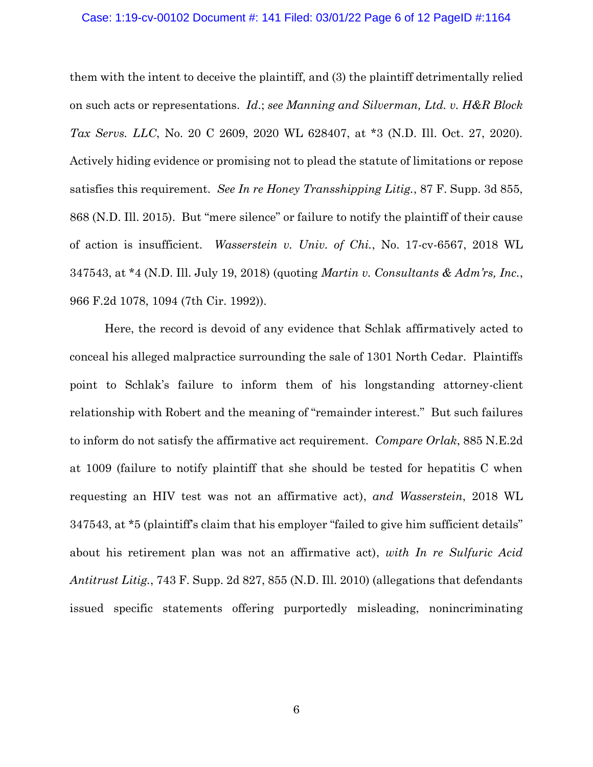#### Case: 1:19-cv-00102 Document #: 141 Filed: 03/01/22 Page 6 of 12 PageID #:1164

them with the intent to deceive the plaintiff, and (3) the plaintiff detrimentally relied on such acts or representations. *Id*.; *see Manning and Silverman, Ltd. v. H&R Block Tax Servs. LLC*, No. 20 C 2609, 2020 WL 628407, at \*3 (N.D. Ill. Oct. 27, 2020). Actively hiding evidence or promising not to plead the statute of limitations or repose satisfies this requirement. *See In re Honey Transshipping Litig.*, 87 F. Supp. 3d 855, 868 (N.D. Ill. 2015). But "mere silence" or failure to notify the plaintiff of their cause of action is insufficient. *Wasserstein v. Univ. of Chi.*, No. 17-cv-6567, 2018 WL 347543, at \*4 (N.D. Ill. July 19, 2018) (quoting *Martin v. Consultants & Adm'rs, Inc.*, 966 F.2d 1078, 1094 (7th Cir. 1992)).

Here, the record is devoid of any evidence that Schlak affirmatively acted to conceal his alleged malpractice surrounding the sale of 1301 North Cedar. Plaintiffs point to Schlak's failure to inform them of his longstanding attorney-client relationship with Robert and the meaning of "remainder interest." But such failures to inform do not satisfy the affirmative act requirement. *Compare Orlak*, 885 N.E.2d at 1009 (failure to notify plaintiff that she should be tested for hepatitis C when requesting an HIV test was not an affirmative act), *and Wasserstein*, 2018 WL 347543, at \*5 (plaintiff's claim that his employer "failed to give him sufficient details" about his retirement plan was not an affirmative act), *with In re Sulfuric Acid Antitrust Litig.*, 743 F. Supp. 2d 827, 855 (N.D. Ill. 2010) (allegations that defendants issued specific statements offering purportedly misleading, nonincriminating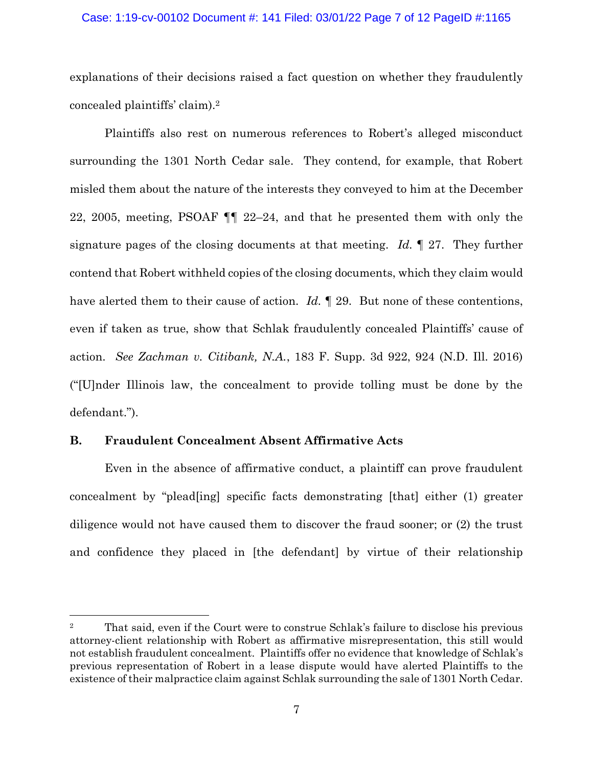### Case: 1:19-cv-00102 Document #: 141 Filed: 03/01/22 Page 7 of 12 PageID #:1165

explanations of their decisions raised a fact question on whether they fraudulently concealed plaintiffs' claim).<sup>2</sup>

Plaintiffs also rest on numerous references to Robert's alleged misconduct surrounding the 1301 North Cedar sale. They contend, for example, that Robert misled them about the nature of the interests they conveyed to him at the December 22, 2005, meeting, PSOAF ¶¶ 22–24, and that he presented them with only the signature pages of the closing documents at that meeting. *Id.* ¶ 27. They further contend that Robert withheld copies of the closing documents, which they claim would have alerted them to their cause of action. *Id.* 1 29. But none of these contentions, even if taken as true, show that Schlak fraudulently concealed Plaintiffs' cause of action. *See Zachman v. Citibank, N.A.*, 183 F. Supp. 3d 922, 924 (N.D. Ill. 2016) ("[U]nder Illinois law, the concealment to provide tolling must be done by the defendant.").

### **B. Fraudulent Concealment Absent Affirmative Acts**

Even in the absence of affirmative conduct, a plaintiff can prove fraudulent concealment by "plead[ing] specific facts demonstrating [that] either (1) greater diligence would not have caused them to discover the fraud sooner; or (2) the trust and confidence they placed in [the defendant] by virtue of their relationship

<sup>&</sup>lt;sup>2</sup> That said, even if the Court were to construe Schlak's failure to disclose his previous attorney-client relationship with Robert as affirmative misrepresentation, this still would not establish fraudulent concealment. Plaintiffs offer no evidence that knowledge of Schlak's previous representation of Robert in a lease dispute would have alerted Plaintiffs to the existence of their malpractice claim against Schlak surrounding the sale of 1301 North Cedar.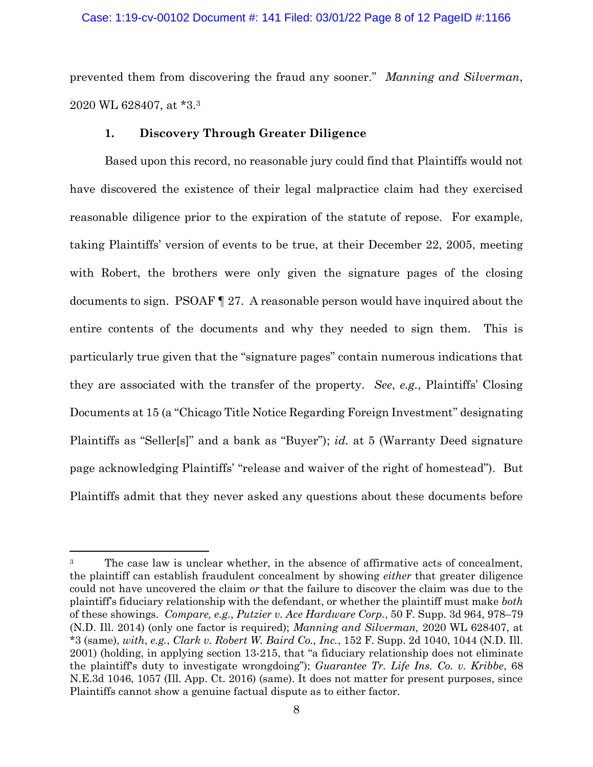### Case: 1:19-cv-00102 Document #: 141 Filed: 03/01/22 Page 8 of 12 PageID #:1166

prevented them from discovering the fraud any sooner." *Manning and Silverman*, 2020 WL 628407, at \*3.<sup>3</sup>

# **1. Discovery Through Greater Diligence**

Based upon this record, no reasonable jury could find that Plaintiffs would not have discovered the existence of their legal malpractice claim had they exercised reasonable diligence prior to the expiration of the statute of repose. For example, taking Plaintiffs' version of events to be true, at their December 22, 2005, meeting with Robert, the brothers were only given the signature pages of the closing documents to sign. PSOAF ¶ 27. A reasonable person would have inquired about the entire contents of the documents and why they needed to sign them. This is particularly true given that the "signature pages" contain numerous indications that they are associated with the transfer of the property. *See*, *e.g.*, Plaintiffs' Closing Documents at 15 (a "Chicago Title Notice Regarding Foreign Investment" designating Plaintiffs as "Seller[s]" and a bank as "Buyer"); *id.* at 5 (Warranty Deed signature page acknowledging Plaintiffs' "release and waiver of the right of homestead"). But Plaintiffs admit that they never asked any questions about these documents before

<sup>&</sup>lt;sup>3</sup> The case law is unclear whether, in the absence of affirmative acts of concealment, the plaintiff can establish fraudulent concealment by showing *either* that greater diligence could not have uncovered the claim *or* that the failure to discover the claim was due to the plaintiff's fiduciary relationship with the defendant, or whether the plaintiff must make *both*  of these showings. *Compare, e.g.*, *Putzier v. Ace Hardware Corp.*, 50 F. Supp. 3d 964, 978–79 (N.D. Ill. 2014) (only one factor is required); *Manning and Silverman,* 2020 WL 628407, at \*3 (same), *with*, *e.g.*, *Clark v. Robert W. Baird Co., Inc.*, 152 F. Supp. 2d 1040, 1044 (N.D. Ill. 2001) (holding, in applying section 13-215, that "a fiduciary relationship does not eliminate the plaintiff's duty to investigate wrongdoing"); *Guarantee Tr. Life Ins. Co. v. Kribbe*, 68 N.E.3d 1046, 1057 (Ill. App. Ct. 2016) (same). It does not matter for present purposes, since Plaintiffs cannot show a genuine factual dispute as to either factor.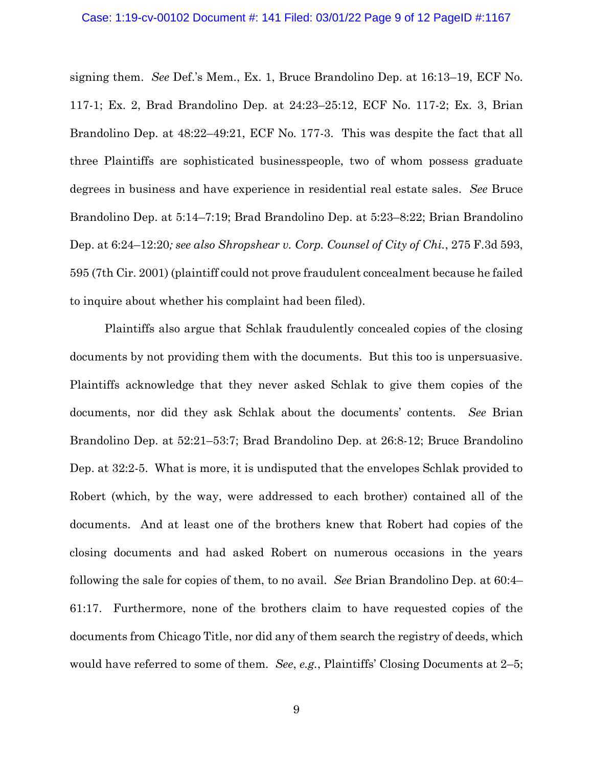#### Case: 1:19-cv-00102 Document #: 141 Filed: 03/01/22 Page 9 of 12 PageID #:1167

signing them. *See* Def.'s Mem., Ex. 1, Bruce Brandolino Dep. at 16:13–19, ECF No. 117-1; Ex. 2, Brad Brandolino Dep. at 24:23–25:12, ECF No. 117-2; Ex. 3, Brian Brandolino Dep. at 48:22–49:21, ECF No. 177-3. This was despite the fact that all three Plaintiffs are sophisticated businesspeople, two of whom possess graduate degrees in business and have experience in residential real estate sales. *See* Bruce Brandolino Dep. at 5:14–7:19; Brad Brandolino Dep. at 5:23–8:22; Brian Brandolino Dep. at 6:24–12:20*; see also Shropshear v. Corp. Counsel of City of Chi.*, 275 F.3d 593, 595 (7th Cir. 2001) (plaintiff could not prove fraudulent concealment because he failed to inquire about whether his complaint had been filed).

Plaintiffs also argue that Schlak fraudulently concealed copies of the closing documents by not providing them with the documents. But this too is unpersuasive. Plaintiffs acknowledge that they never asked Schlak to give them copies of the documents, nor did they ask Schlak about the documents' contents. *See* Brian Brandolino Dep. at 52:21–53:7; Brad Brandolino Dep. at 26:8-12; Bruce Brandolino Dep. at 32:2-5. What is more, it is undisputed that the envelopes Schlak provided to Robert (which, by the way, were addressed to each brother) contained all of the documents. And at least one of the brothers knew that Robert had copies of the closing documents and had asked Robert on numerous occasions in the years following the sale for copies of them, to no avail. *See* Brian Brandolino Dep. at 60:4– 61:17. Furthermore, none of the brothers claim to have requested copies of the documents from Chicago Title, nor did any of them search the registry of deeds, which would have referred to some of them. *See*, *e.g.*, Plaintiffs' Closing Documents at 2–5;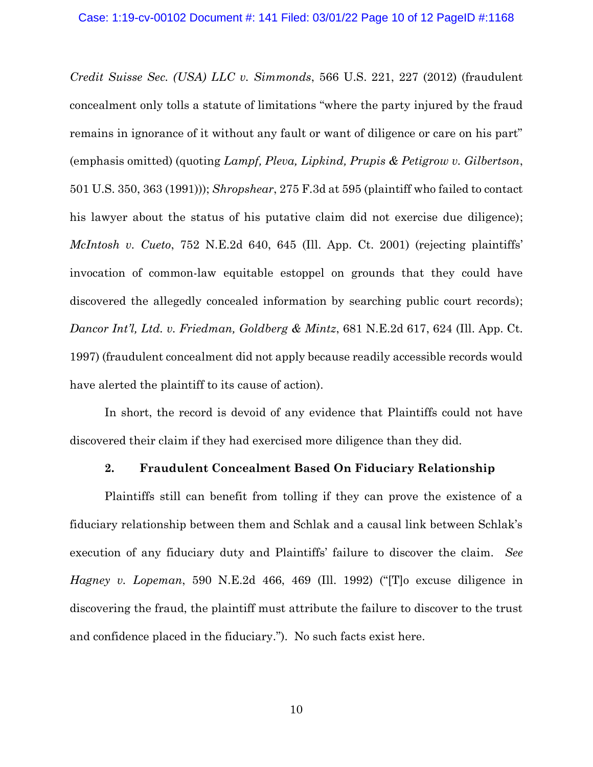*Credit Suisse Sec. (USA) LLC v. Simmonds*, 566 U.S. 221, 227 (2012) (fraudulent concealment only tolls a statute of limitations "where the party injured by the fraud remains in ignorance of it without any fault or want of diligence or care on his part" (emphasis omitted) (quoting *Lampf, Pleva, Lipkind, Prupis & Petigrow v. Gilbertson*, 501 U.S. 350, 363 (1991))); *Shropshear*, 275 F.3d at 595 (plaintiff who failed to contact his lawyer about the status of his putative claim did not exercise due diligence); *McIntosh v. Cueto*, 752 N.E.2d 640, 645 (Ill. App. Ct. 2001) (rejecting plaintiffs' invocation of common-law equitable estoppel on grounds that they could have discovered the allegedly concealed information by searching public court records); *Dancor Int'l, Ltd. v. Friedman, Goldberg & Mintz*, 681 N.E.2d 617, 624 (Ill. App. Ct. 1997) (fraudulent concealment did not apply because readily accessible records would have alerted the plaintiff to its cause of action).

In short, the record is devoid of any evidence that Plaintiffs could not have discovered their claim if they had exercised more diligence than they did.

# **2. Fraudulent Concealment Based On Fiduciary Relationship**

Plaintiffs still can benefit from tolling if they can prove the existence of a fiduciary relationship between them and Schlak and a causal link between Schlak's execution of any fiduciary duty and Plaintiffs' failure to discover the claim. *See Hagney v. Lopeman*, 590 N.E.2d 466, 469 (Ill. 1992) ("[T]o excuse diligence in discovering the fraud, the plaintiff must attribute the failure to discover to the trust and confidence placed in the fiduciary."). No such facts exist here.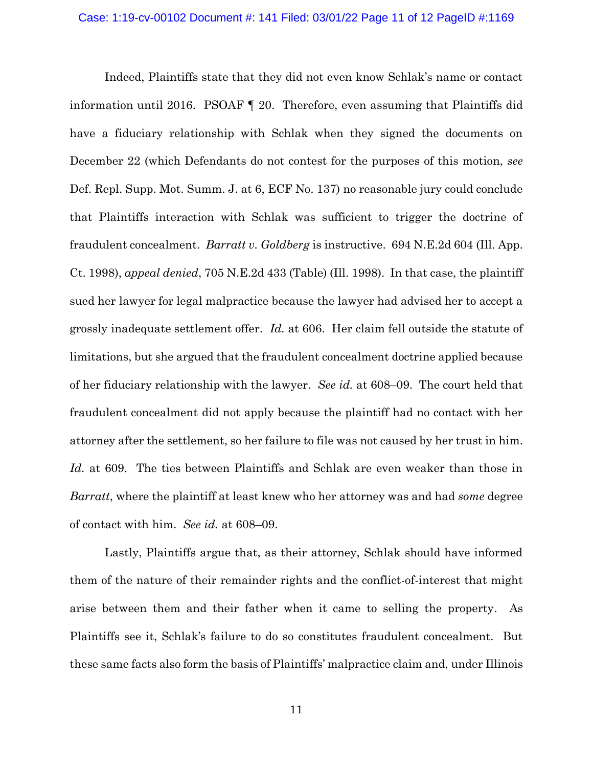Indeed, Plaintiffs state that they did not even know Schlak's name or contact information until 2016. PSOAF ¶ 20. Therefore, even assuming that Plaintiffs did have a fiduciary relationship with Schlak when they signed the documents on December 22 (which Defendants do not contest for the purposes of this motion, *see*  Def. Repl. Supp. Mot. Summ. J. at 6, ECF No. 137) no reasonable jury could conclude that Plaintiffs interaction with Schlak was sufficient to trigger the doctrine of fraudulent concealment. *Barratt v. Goldberg* is instructive. 694 N.E.2d 604 (Ill. App. Ct. 1998), *appeal denied*, 705 N.E.2d 433 (Table) (Ill. 1998). In that case, the plaintiff sued her lawyer for legal malpractice because the lawyer had advised her to accept a grossly inadequate settlement offer. *Id.* at 606. Her claim fell outside the statute of limitations, but she argued that the fraudulent concealment doctrine applied because of her fiduciary relationship with the lawyer. *See id.* at 608–09. The court held that fraudulent concealment did not apply because the plaintiff had no contact with her attorney after the settlement, so her failure to file was not caused by her trust in him. *Id.* at 609. The ties between Plaintiffs and Schlak are even weaker than those in *Barratt*, where the plaintiff at least knew who her attorney was and had *some* degree of contact with him. *See id.* at 608–09.

Lastly, Plaintiffs argue that, as their attorney, Schlak should have informed them of the nature of their remainder rights and the conflict-of-interest that might arise between them and their father when it came to selling the property. As Plaintiffs see it, Schlak's failure to do so constitutes fraudulent concealment. But these same facts also form the basis of Plaintiffs' malpractice claim and, under Illinois